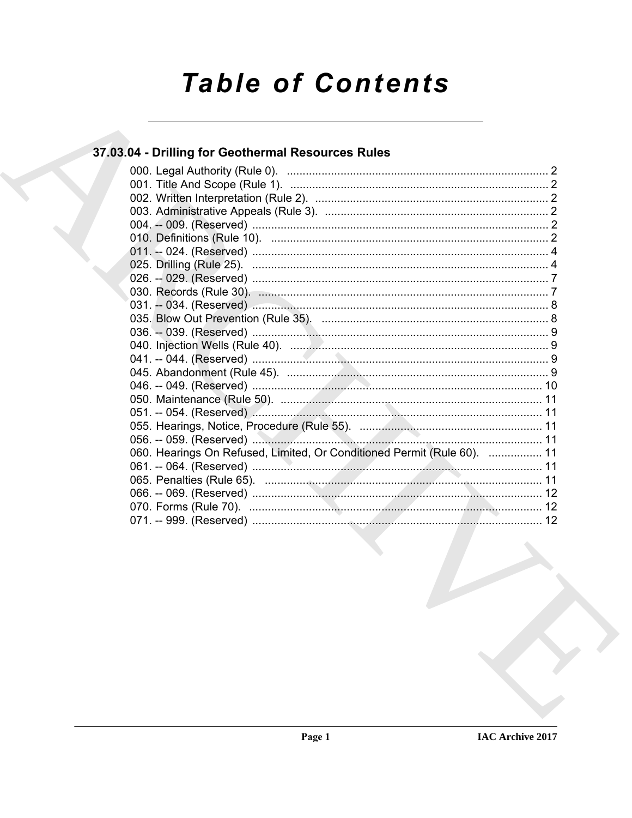# **Table of Contents**

## 37.03.04 - Drilling for Geothermal Resources Rules

| 060. Hearings On Refused, Limited, Or Conditioned Permit (Rule 60).  11 |
|-------------------------------------------------------------------------|
|                                                                         |
|                                                                         |
|                                                                         |
|                                                                         |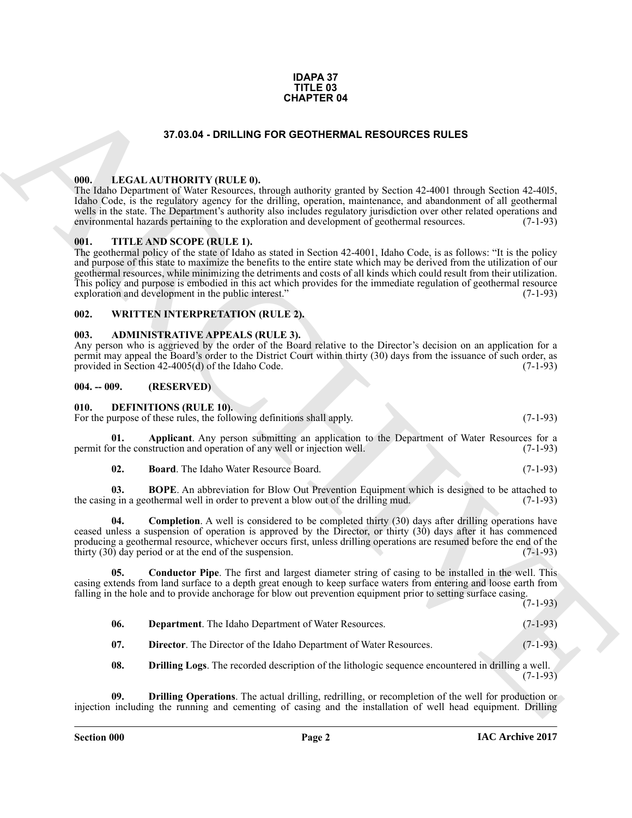#### **IDAPA 37 TITLE 03 CHAPTER 04**

#### **37.03.04 - DRILLING FOR GEOTHERMAL RESOURCES RULES**

#### <span id="page-1-1"></span><span id="page-1-0"></span>**000. LEGAL AUTHORITY (RULE 0).**

The Idaho Department of Water Resources, through authority granted by Section 42-4001 through Section 42-40l5, Idaho Code, is the regulatory agency for the drilling, operation, maintenance, and abandonment of all geothermal wells in the state. The Department's authority also includes regulatory jurisdiction over other related operations and environmental hazards pertaining to the exploration and development of geothermal resources. (7-1-93) environmental hazards pertaining to the exploration and development of geothermal resources.

#### <span id="page-1-2"></span>**001. TITLE AND SCOPE (RULE 1).**

**EXAMPLE RAN<br>
STAGAI-DRILLING FOR GEOTHERMAL RESOURCES RULES<br>
THE LALEATING INTERFACTATION CONTINEES AND THE SECTION AND STATE IN THE SECTION OF A CONTINUES CONTINUES AND THE SECTION OF A CONTINUES AND CONTINUES ARE CONTI** The geothermal policy of the state of Idaho as stated in Section 42-4001, Idaho Code, is as follows: "It is the policy and purpose of this state to maximize the benefits to the entire state which may be derived from the utilization of our geothermal resources, while minimizing the detriments and costs of all kinds which could result from their utilization. This policy and purpose is embodied in this act which provides for the immediate regulation of geothermal resource exploration and development in the public interest." (7-1-93)

#### <span id="page-1-3"></span>**002. WRITTEN INTERPRETATION (RULE 2).**

#### <span id="page-1-4"></span>**003. ADMINISTRATIVE APPEALS (RULE 3).**

Any person who is aggrieved by the order of the Board relative to the Director's decision on an application for a permit may appeal the Board's order to the District Court within thirty (30) days from the issuance of such order, as provided in Section 42-4005(d) of the Idaho Code. (7-1-93) provided in Section  $42-4005(d)$  of the Idaho Code.

#### <span id="page-1-5"></span>**004. -- 009. (RESERVED)**

#### <span id="page-1-7"></span><span id="page-1-6"></span>**010. DEFINITIONS (RULE 10).**

For the purpose of these rules, the following definitions shall apply. (7-1-93)

**01. Applicant**. Any person submitting an application to the Department of Water Resources for a permit for the construction and operation of any well or injection well. (7-1-93)

<span id="page-1-11"></span><span id="page-1-10"></span><span id="page-1-9"></span><span id="page-1-8"></span>**02. Board**. The Idaho Water Resource Board. (7-1-93)

**03. BOPE**. An abbreviation for Blow Out Prevention Equipment which is designed to be attached to g in a geothermal well in order to prevent a blow out of the drilling mud. (7-1-93) the casing in a geothermal well in order to prevent a blow out of the drilling mud.

**Completion**. A well is considered to be completed thirty (30) days after drilling operations have ceased unless a suspension of operation is approved by the Director, or thirty (30) days after it has commenced producing a geothermal resource, whichever occurs first, unless drilling operations are resumed before the end of the thirty  $(30)$  day period or at the end of the suspension.  $(7-1-93)$ 

**05. Conductor Pipe**. The first and largest diameter string of casing to be installed in the well. This casing extends from land surface to a depth great enough to keep surface waters from entering and loose earth from falling in the hole and to provide anchorage for blow out prevention equipment prior to setting surface casing.

- (7-1-93)
- <span id="page-1-13"></span><span id="page-1-12"></span>**06. Department**. The Idaho Department of Water Resources. (7-1-93)
- <span id="page-1-14"></span>**07. Director**. The Director of the Idaho Department of Water Resources. (7-1-93)
- <span id="page-1-16"></span><span id="page-1-15"></span>**08. Drilling Logs**. The recorded description of the lithologic sequence encountered in drilling a well. (7-1-93)

**Drilling Operations**. The actual drilling, redrilling, or recompletion of the well for production or injection including the running and cementing of casing and the installation of well head equipment. Drilling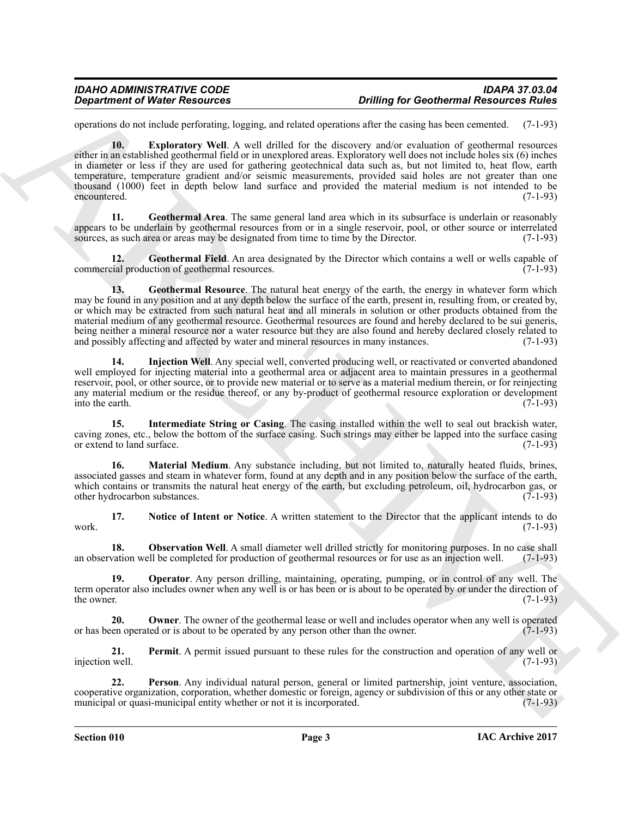<span id="page-2-0"></span>operations do not include perforating, logging, and related operations after the casing has been cemented. (7-1-93)

**10. Exploratory Well**. A well drilled for the discovery and/or evaluation of geothermal resources either in an established geothermal field or in unexplored areas. Exploratory well does not include holes six (6) inches in diameter or less if they are used for gathering geotechnical data such as, but not limited to, heat flow, earth temperature, temperature gradient and/or seismic measurements, provided said holes are not greater than one thousand (1000) feet in depth below land surface and provided the material medium is not intended to be encountered. (7-1-93)

<span id="page-2-1"></span>**11. Geothermal Area**. The same general land area which in its subsurface is underlain or reasonably appears to be underlain by geothermal resources from or in a single reservoir, pool, or other source or interrelated sources, as such area or areas may be designated from time to time by the Director. (7-1-93) sources, as such area or areas may be designated from time to time by the Director.

<span id="page-2-3"></span><span id="page-2-2"></span>**12. Geothermal Field**. An area designated by the Director which contains a well or wells capable of commercial production of geothermal resources. (7-1-93)

**Constrained Water Resources Draftland Resources Draftland of the case of the state of a state of the state of the state of the state of the state of the state of the state of the state of the state of the state of the st 13. Geothermal Resource**. The natural heat energy of the earth, the energy in whatever form which may be found in any position and at any depth below the surface of the earth, present in, resulting from, or created by, or which may be extracted from such natural heat and all minerals in solution or other products obtained from the material medium of any geothermal resource. Geothermal resources are found and hereby declared to be sui generis, being neither a mineral resource nor a water resource but they are also found and hereby declared closely related to and possibly affecting and affected by water and mineral resources in many instances. (7-1-93)

<span id="page-2-4"></span>**14. Injection Well**. Any special well, converted producing well, or reactivated or converted abandoned well employed for injecting material into a geothermal area or adjacent area to maintain pressures in a geothermal reservoir, pool, or other source, or to provide new material or to serve as a material medium therein, or for reinjecting any material medium or the residue thereof, or any by-product of geothermal resource exploration or development into the earth. (7-1-93)

<span id="page-2-5"></span>**15. Intermediate String or Casing**. The casing installed within the well to seal out brackish water, caving zones, etc., below the bottom of the surface casing. Such strings may either be lapped into the surface casing or extend to land surface. (7-1-93) or extend to land surface.

<span id="page-2-6"></span>**16. Material Medium**. Any substance including, but not limited to, naturally heated fluids, brines, associated gasses and steam in whatever form, found at any depth and in any position below the surface of the earth, which contains or transmits the natural heat energy of the earth, but excluding petroleum, oil, hydrocarbon gas, or other hydrocarbon substances.  $(7-1-93)$ other hydrocarbon substances.

<span id="page-2-7"></span>**17. Notice of Intent or Notice**. A written statement to the Director that the applicant intends to do (7-1-93) work. (7-1-93)

<span id="page-2-8"></span>**18. Observation Well**. A small diameter well drilled strictly for monitoring purposes. In no case shall an observation well be completed for production of geothermal resources or for use as an injection well. (7-1-93)

<span id="page-2-9"></span>**19. Operator**. Any person drilling, maintaining, operating, pumping, or in control of any well. The term operator also includes owner when any well is or has been or is about to be operated by or under the direction of the owner. (7-1-93) the owner.  $(7-1-93)$ 

<span id="page-2-10"></span>**20. 20. Owner**. The owner of the geothermal lease or well and includes operator when any well is operated een operated or is about to be operated by any person other than the owner. (7-1-93) or has been operated or is about to be operated by any person other than the owner.

<span id="page-2-11"></span>**21. Permit**. A permit issued pursuant to these rules for the construction and operation of any well or well. (7-1-93) injection well.

<span id="page-2-12"></span>**22. Person**. Any individual natural person, general or limited partnership, joint venture, association, cooperative organization, corporation, whether domestic or foreign, agency or subdivision of this or any other state or municipal or quasi-municipal entity whether or not it is incorporated. (7-1-93) municipal or quasi-municipal entity whether or not it is incorporated.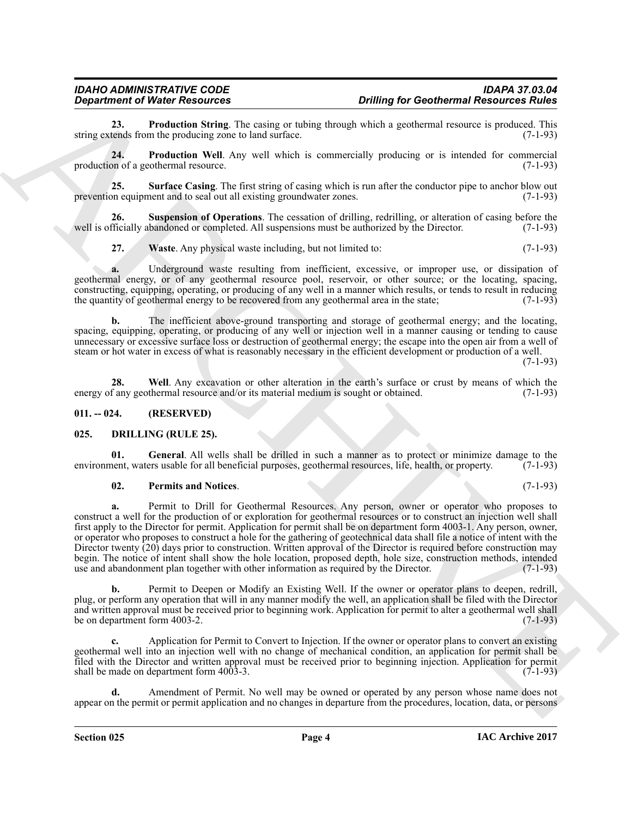## *IDAHO ADMINISTRATIVE CODE IDAPA 37.03.04*

<span id="page-3-2"></span>**23. Production String**. The casing or tubing through which a geothermal resource is produced. This tends from the producing zone to land surface. (7-1-93) string extends from the producing zone to land surface.

<span id="page-3-3"></span>**24. Production Well**. Any well which is commercially producing or is intended for commercial production of a geothermal resource. (7-1-93)

<span id="page-3-4"></span>**25. Surface Casing**. The first string of casing which is run after the conductor pipe to anchor blow out on equipment and to seal out all existing groundwater zones. prevention equipment and to seal out all existing groundwater zones.

**26.** Suspension of Operations. The cessation of drilling, redrilling, or alteration of casing before the entitially abandoned or completed. All suspensions must be authorized by the Director. (7-1-93) well is officially abandoned or completed. All suspensions must be authorized by the Director.

<span id="page-3-6"></span><span id="page-3-5"></span>**27.** Waste Any physical waste including, but not limited to: (7-1-93)

**a.** Underground waste resulting from inefficient, excessive, or improper use, or dissipation of geothermal energy, or of any geothermal resource pool, reservoir, or other source; or the locating, spacing, constructing, equipping, operating, or producing of any well in a manner which results, or tends to result in reducing the quantity of geothermal energy to be recovered from any geothermal area in the state:  $(7-1-93)$ the quantity of geothermal energy to be recovered from any geothermal area in the state;

**b.** The inefficient above-ground transporting and storage of geothermal energy; and the locating, spacing, equipping, operating, or producing of any well or injection well in a manner causing or tending to cause unnecessary or excessive surface loss or destruction of geothermal energy; the escape into the open air from a well of steam or hot water in excess of what is reasonably necessary in the efficient development or production of a well.

(7-1-93)

<span id="page-3-7"></span>**28.** Well. Any excavation or other alteration in the earth's surface or crust by means of which the f any geothermal resource and/or its material medium is sought or obtained. (7-1-93) energy of any geothermal resource and/or its material medium is sought or obtained.

#### <span id="page-3-0"></span>**011. -- 024. (RESERVED)**

#### <span id="page-3-8"></span><span id="page-3-1"></span>**025. DRILLING (RULE 25).**

**01. General**. All wells shall be drilled in such a manner as to protect or minimize damage to the environment, waters usable for all beneficial purposes, geothermal resources, life, health, or property. (7-1-93)

#### <span id="page-3-10"></span><span id="page-3-9"></span>**02. Permits and Notices**. (7-1-93)

**Considered We become the state of the state of the state of the state of the state of the state of the state of the state of the state of the state of the state of the state of the state of the state of the state of the a.** Permit to Drill for Geothermal Resources. Any person, owner or operator who proposes to construct a well for the production of or exploration for geothermal resources or to construct an injection well shall first apply to the Director for permit. Application for permit shall be on department form 4003-1. Any person, owner, or operator who proposes to construct a hole for the gathering of geotechnical data shall file a notice of intent with the Director twenty (20) days prior to construction. Written approval of the Director is required before construction may begin. The notice of intent shall show the hole location, proposed depth, hole size, construction methods, intended use and abandonment plan together with other information as required by the Director. (7-1-93) use and abandonment plan together with other information as required by the Director.

**b.** Permit to Deepen or Modify an Existing Well. If the owner or operator plans to deepen, redrill, plug, or perform any operation that will in any manner modify the well, an application shall be filed with the Director and written approval must be received prior to beginning work. Application for permit to alter a geothermal well shall<br>be on department form 4003-2. (7-1-93) be on department form 4003-2.

**c.** Application for Permit to Convert to Injection. If the owner or operator plans to convert an existing geothermal well into an injection well with no change of mechanical condition, an application for permit shall be filed with the Director and written approval must be received prior to beginning injection. Application for permit shall be made on department form 4003-3. (7-1-93)

**d.** Amendment of Permit. No well may be owned or operated by any person whose name does not appear on the permit or permit application and no changes in departure from the procedures, location, data, or persons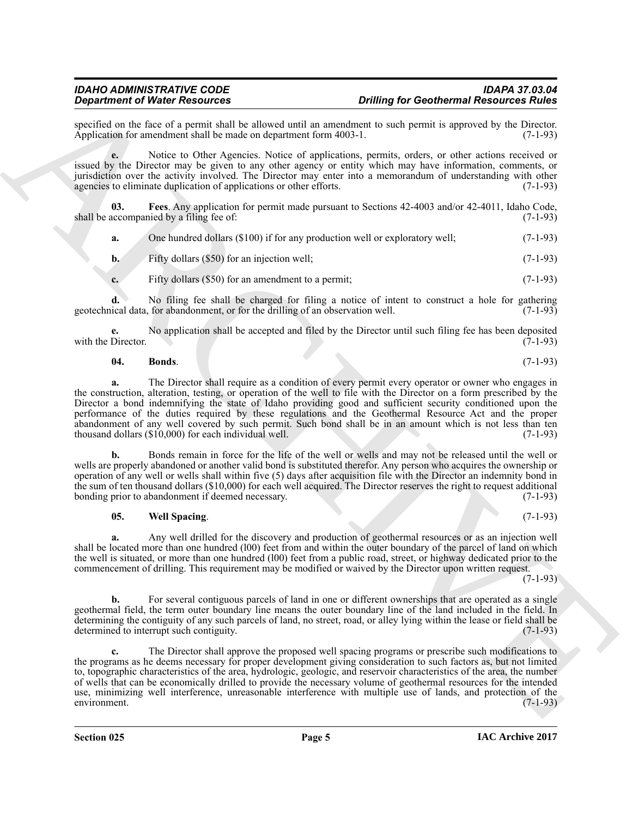specified on the face of a permit shall be allowed until an amendment to such permit is approved by the Director.<br>Application for amendment shall be made on department form 4003-1. Application for amendment shall be made on department form  $4003-1$ .

**e.** Notice to Other Agencies. Notice of applications, permits, orders, or other actions received or issued by the Director may be given to any other agency or entity which may have information, comments, or jurisdiction over the activity involved. The Director may enter into a memorandum of understanding with other agencies to eliminate duplication of applications or other efforts. (7-1-93) agencies to eliminate duplication of applications or other efforts.

**03. Fees**. Any application for permit made pursuant to Sections 42-4003 and/or 42-4011, Idaho Code, shall be accompanied by a filing fee of: (7-1-93)

<span id="page-4-1"></span>

| One hundred dollars (\$100) if for any production well or exploratory well; | $(7-1-93)$ |
|-----------------------------------------------------------------------------|------------|
|                                                                             |            |

**b.** Fifty dollars (\$50) for an injection well; (7-1-93)

**c.** Fifty dollars (\$50) for an amendment to a permit; (7-1-93)

**d.** No filing fee shall be charged for filing a notice of intent to construct a hole for gathering geotechnical data, for abandonment, or for the drilling of an observation well. (7-1-93)

**e.** No application shall be accepted and filed by the Director until such filing fee has been deposited Director. (7-1-93) with the Director.

### <span id="page-4-0"></span>**04. Bonds**. (7-1-93)

**a.** The Director shall require as a condition of every permit every operator or owner who engages in the construction, alteration, testing, or operation of the well to file with the Director on a form prescribed by the Director a bond indemnifying the state of Idaho providing good and sufficient security conditioned upon the performance of the duties required by these regulations and the Geothermal Resource Act and the proper abandonment of any well covered by such permit. Such bond shall be in an amount which is not less than ten thousand dollars  $(\$10.000)$  for each individual well.  $(7-1-93)$ thousand dollars  $(\$10,000)$  for each individual well.

**b.** Bonds remain in force for the life of the well or wells and may not be released until the well or wells are properly abandoned or another valid bond is substituted therefor. Any person who acquires the ownership or operation of any well or wells shall within five (5) days after acquisition file with the Director an indemnity bond in the sum of ten thousand dollars (\$10,000) for each well acquired. The Director reserves the right to request additional bonding prior to abandonment if deemed necessary. (7-1-93)

#### <span id="page-4-2"></span>**05. Well Spacing**. (7-1-93)

**a.** Any well drilled for the discovery and production of geothermal resources or as an injection well shall be located more than one hundred (l00) feet from and within the outer boundary of the parcel of land on which the well is situated, or more than one hundred (l00) feet from a public road, street, or highway dedicated prior to the commencement of drilling. This requirement may be modified or waived by the Director upon written request.

(7-1-93)

**b.** For several contiguous parcels of land in one or different ownerships that are operated as a single geothermal field, the term outer boundary line means the outer boundary line of the land included in the field. In determining the contiguity of any such parcels of land, no street, road, or alley lying within the lease or field shall be determined to interrupt such contiguity.

**Strainers of Washer School and Lie also performed the continent Resources Ruine<br>
System and Revise of the Associates And System and Lie also performed and system and a system of Revise of the Associates Application, perm c.** The Director shall approve the proposed well spacing programs or prescribe such modifications to the programs as he deems necessary for proper development giving consideration to such factors as, but not limited to, topographic characteristics of the area, hydrologic, geologic, and reservoir characteristics of the area, the number of wells that can be economically drilled to provide the necessary volume of geothermal resources for the intended use, minimizing well interference, unreasonable interference with multiple use of lands, and protection of the environment. (7-1-93) environment. (7-1-93)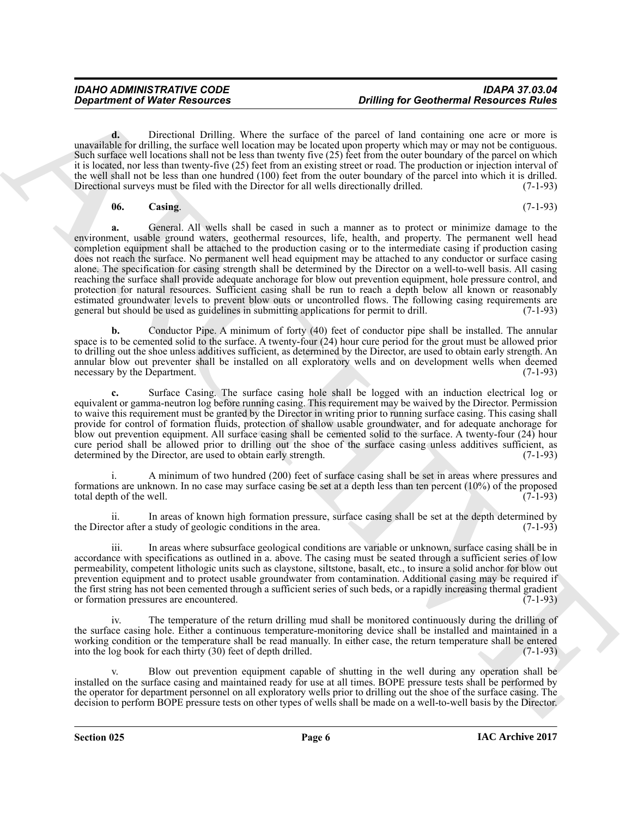**d.** Directional Drilling. Where the surface of the parcel of land containing one acre or more is unavailable for drilling, the surface well location may be located upon property which may or may not be contiguous. Such surface well locations shall not be less than twenty five (25) feet from the outer boundary of the parcel on which it is located, nor less than twenty-five (25) feet from an existing street or road. The production or injection interval of the well shall not be less than one hundred (100) feet from the outer boundary of the parcel into which it is drilled.<br>Directional surveys must be filed with the Director for all wells directionally drilled. (7-1-93) Directional surveys must be filed with the Director for all wells directionally drilled.

#### <span id="page-5-0"></span>**06. Casing**. (7-1-93)

**Constrained of Nicele Resources.** Ording for Geothermal Resources in the same of the same in the same in the same of the same of the same of the same of the same of the same of the same of the same of the same of the sam **a.** General. All wells shall be cased in such a manner as to protect or minimize damage to the environment, usable ground waters, geothermal resources, life, health, and property. The permanent well head completion equipment shall be attached to the production casing or to the intermediate casing if production casing does not reach the surface. No permanent well head equipment may be attached to any conductor or surface casing alone. The specification for casing strength shall be determined by the Director on a well-to-well basis. All casing reaching the surface shall provide adequate anchorage for blow out prevention equipment, hole pressure control, and protection for natural resources. Sufficient casing shall be run to reach a depth below all known or reasonably estimated groundwater levels to prevent blow outs or uncontrolled flows. The following casing requirements are general but should be used as guidelines in submitting applications for permit to drill. (7-1-93)

**b.** Conductor Pipe. A minimum of forty (40) feet of conductor pipe shall be installed. The annular space is to be cemented solid to the surface. A twenty-four (24) hour cure period for the grout must be allowed prior to drilling out the shoe unless additives sufficient, as determined by the Director, are used to obtain early strength. An annular blow out preventer shall be installed on all exploratory wells and on development wells when deemed necessary by the Department. (7-1-93)

**c.** Surface Casing. The surface casing hole shall be logged with an induction electrical log or equivalent or gamma-neutron log before running casing. This requirement may be waived by the Director. Permission to waive this requirement must be granted by the Director in writing prior to running surface casing. This casing shall provide for control of formation fluids, protection of shallow usable groundwater, and for adequate anchorage for blow out prevention equipment. All surface casing shall be cemented solid to the surface. A twenty-four (24) hour cure period shall be allowed prior to drilling out the shoe of the surface casing unless additives sufficient, as determined by the Director, are used to obtain early strength. (7-1-93) determined by the Director, are used to obtain early strength.

A minimum of two hundred (200) feet of surface casing shall be set in areas where pressures and formations are unknown. In no case may surface casing be set at a depth less than ten percent (10%) of the proposed total depth of the well. total depth of the well.

ii. In areas of known high formation pressure, surface casing shall be set at the depth determined by tor after a study of geologic conditions in the area. (7-1-93) the Director after a study of geologic conditions in the area.

iii. In areas where subsurface geological conditions are variable or unknown, surface casing shall be in accordance with specifications as outlined in a. above. The casing must be seated through a sufficient series of low permeability, competent lithologic units such as claystone, siltstone, basalt, etc., to insure a solid anchor for blow out prevention equipment and to protect usable groundwater from contamination. Additional casing may be required if the first string has not been cemented through a sufficient series of such beds, or a rapidly increasing thermal gradient or formation pressures are encountered. or formation pressures are encountered.

iv. The temperature of the return drilling mud shall be monitored continuously during the drilling of the surface casing hole. Either a continuous temperature-monitoring device shall be installed and maintained in a working condition or the temperature shall be read manually. In either case, the return temperature shall be entered into the log book for each thirty (30) feet of depth drilled. (7-1-93)

Blow out prevention equipment capable of shutting in the well during any operation shall be installed on the surface casing and maintained ready for use at all times. BOPE pressure tests shall be performed by the operator for department personnel on all exploratory wells prior to drilling out the shoe of the surface casing. The decision to perform BOPE pressure tests on other types of wells shall be made on a well-to-well basis by the Director.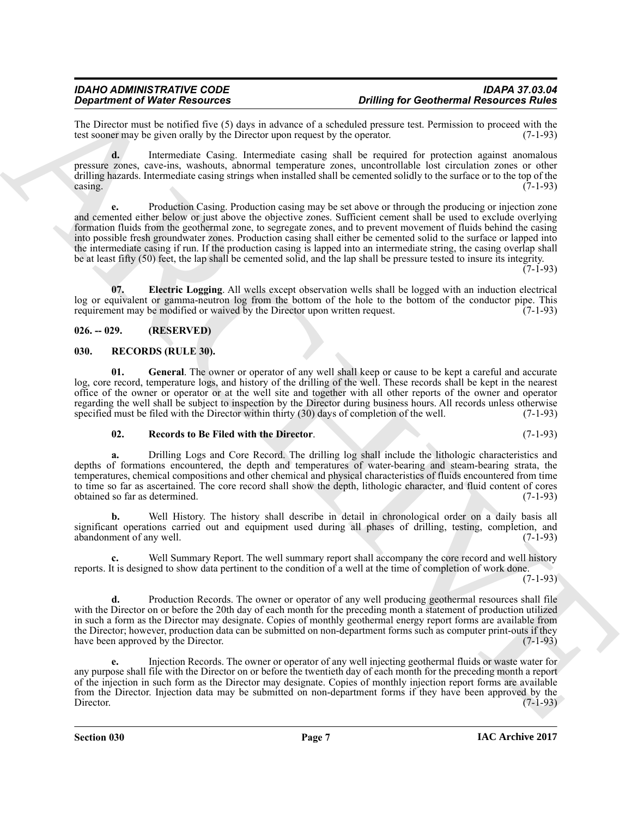The Director must be notified five (5) days in advance of a scheduled pressure test. Permission to proceed with the test sooner may be given orally by the Director upon request by the operator.  $(7-1-93)$ test sooner may be given orally by the Director upon request by the operator.

**d.** Intermediate Casing. Intermediate casing shall be required for protection against anomalous pressure zones, cave-ins, washouts, abnormal temperature zones, uncontrollable lost circulation zones or other drilling hazards. Intermediate casing strings when installed shall be cemented solidly to the surface or to the top of the casing.  $\alpha$  casing.  $(7-1-93)$ 

**Solution of Water Research entropy the number of Million Schwarz (Edition Continuous Characteristics and the solution of the state of Million Schwarz (1993) and the state of Million Schwarz (1993) and the state of Millio e.** Production Casing. Production casing may be set above or through the producing or injection zone and cemented either below or just above the objective zones. Sufficient cement shall be used to exclude overlying formation fluids from the geothermal zone, to segregate zones, and to prevent movement of fluids behind the casing into possible fresh groundwater zones. Production casing shall either be cemented solid to the surface or lapped into the intermediate casing if run. If the production casing is lapped into an intermediate string, the casing overlap shall be at least fifty (50) feet, the lap shall be cemented solid, and the lap shall be pressure tested to insure its integrity.

 $(7-1-93)$ 

<span id="page-6-2"></span>**07. Electric Logging**. All wells except observation wells shall be logged with an induction electrical log or equivalent or gamma-neutron log from the bottom of the hole to the bottom of the conductor pipe. This requirement may be modified or waived by the Director upon written request. (7-1-93)

#### <span id="page-6-0"></span>**026. -- 029. (RESERVED)**

#### <span id="page-6-3"></span><span id="page-6-1"></span>**030. RECORDS (RULE 30).**

<span id="page-6-4"></span>**01. General**. The owner or operator of any well shall keep or cause to be kept a careful and accurate log, core record, temperature logs, and history of the drilling of the well. These records shall be kept in the nearest office of the owner or operator or at the well site and together with all other reports of the owner and operator regarding the well shall be subject to inspection by the Director during business hours. All records unless otherwise specified must be filed with the Director within thirty (30) days of completion of the well. (7-1-93) specified must be filed with the Director within thirty (30) days of completion of the well.

#### <span id="page-6-5"></span>**02. Records to Be Filed with the Director**. (7-1-93)

**a.** Drilling Logs and Core Record. The drilling log shall include the lithologic characteristics and depths of formations encountered, the depth and temperatures of water-bearing and steam-bearing strata, the temperatures, chemical compositions and other chemical and physical characteristics of fluids encountered from time to time so far as ascertained. The core record shall show the depth, lithologic character, and fluid content of cores obtained so far as determined. (7-1-93)

**b.** Well History. The history shall describe in detail in chronological order on a daily basis all significant operations carried out and equipment used during all phases of drilling, testing, completion, and abandonment of any well. abandonment of any well.

Well Summary Report. The well summary report shall accompany the core record and well history reports. It is designed to show data pertinent to the condition of a well at the time of completion of work done.

(7-1-93)

**d.** Production Records. The owner or operator of any well producing geothermal resources shall file with the Director on or before the 20th day of each month for the preceding month a statement of production utilized in such a form as the Director may designate. Copies of monthly geothermal energy report forms are available from the Director; however, production data can be submitted on non-department forms such as computer print-outs if they<br>have been approved by the Director. (7-1-93) have been approved by the Director.

**e.** Injection Records. The owner or operator of any well injecting geothermal fluids or waste water for any purpose shall file with the Director on or before the twentieth day of each month for the preceding month a report of the injection in such form as the Director may designate. Copies of monthly injection report forms are available from the Director. Injection data may be submitted on non-department forms if they have been approved by the Director. (7-1-93) Director. (7-1-93)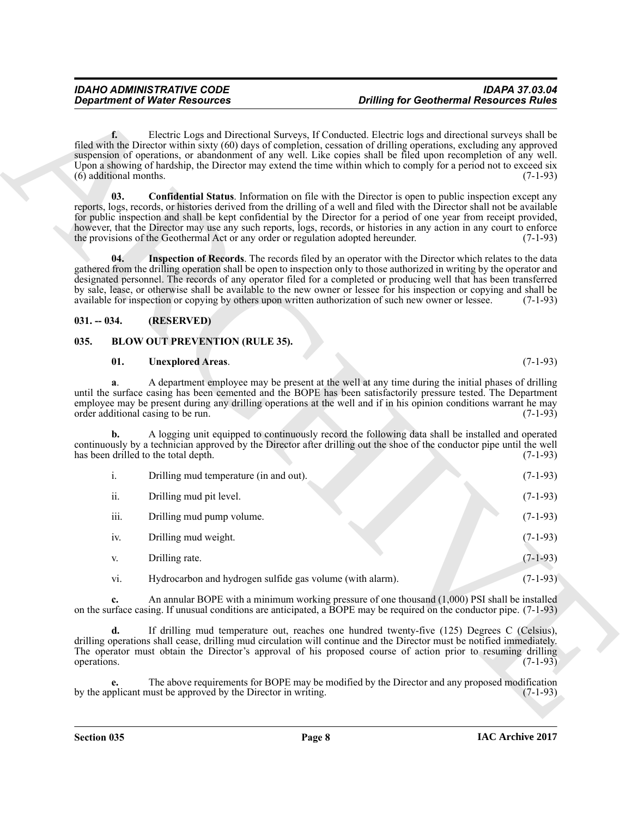#### <span id="page-7-5"></span><span id="page-7-4"></span><span id="page-7-0"></span>**031. -- 034. (RESERVED)**

#### <span id="page-7-1"></span>**035. BLOW OUT PREVENTION (RULE 35).**

#### <span id="page-7-3"></span><span id="page-7-2"></span>**01. Unexplored Areas**. (7-1-93)

|                                         | <b>Department of Water Resources</b>                                               | <b>Drilling for Geothermal Resources Rules</b>                                                                                                                                                                                                                                                                                                                                                                                                                                                                                                                                                         |  |
|-----------------------------------------|------------------------------------------------------------------------------------|--------------------------------------------------------------------------------------------------------------------------------------------------------------------------------------------------------------------------------------------------------------------------------------------------------------------------------------------------------------------------------------------------------------------------------------------------------------------------------------------------------------------------------------------------------------------------------------------------------|--|
| $f_{\star}$<br>$(6)$ additional months. |                                                                                    | Electric Logs and Directional Surveys, If Conducted. Electric logs and directional surveys shall be<br>filed with the Director within sixty (60) days of completion, cessation of drilling operations, excluding any approved<br>suspension of operations, or abandonment of any well. Like copies shall be filed upon recompletion of any well.<br>Upon a showing of hardship, the Director may extend the time within which to comply for a period not to exceed six<br>$(7-1-93)$                                                                                                                   |  |
| 03.                                     | the provisions of the Geothermal Act or any order or regulation adopted hereunder. | <b>Confidential Status</b> . Information on file with the Director is open to public inspection except any<br>reports, logs, records, or histories derived from the drilling of a well and filed with the Director shall not be available<br>for public inspection and shall be kept confidential by the Director for a period of one year from receipt provided,<br>however, that the Director may use any such reports, logs, records, or histories in any action in any court to enforce<br>$(7-1-93)$                                                                                              |  |
| 04.                                     |                                                                                    | Inspection of Records. The records filed by an operator with the Director which relates to the data<br>gathered from the drilling operation shall be open to inspection only to those authorized in writing by the operator and<br>designated personnel. The records of any operator filed for a completed or producing well that has been transferred<br>by sale, lease, or otherwise shall be available to the new owner or lessee for his inspection or copying and shall be<br>available for inspection or copying by others upon written authorization of such new owner or lessee.<br>$(7-1-93)$ |  |
| $031. - 034.$                           | (RESERVED)                                                                         |                                                                                                                                                                                                                                                                                                                                                                                                                                                                                                                                                                                                        |  |
| 035.                                    | <b>BLOW OUT PREVENTION (RULE 35).</b>                                              |                                                                                                                                                                                                                                                                                                                                                                                                                                                                                                                                                                                                        |  |
| 01.                                     | <b>Unexplored Areas.</b>                                                           | $(7-1-93)$                                                                                                                                                                                                                                                                                                                                                                                                                                                                                                                                                                                             |  |
| a.                                      | order additional casing to be run.                                                 | A department employee may be present at the well at any time during the initial phases of drilling<br>until the surface casing has been cemented and the BOPE has been satisfactorily pressure tested. The Department<br>employee may be present during any drilling operations at the well and if in his opinion conditions warrant he may<br>$(7-1-93)$                                                                                                                                                                                                                                              |  |
| b.                                      | has been drilled to the total depth.                                               | A logging unit equipped to continuously record the following data shall be installed and operated<br>continuously by a technician approved by the Director after drilling out the shoe of the conductor pipe until the well<br>$(7-1-93)$                                                                                                                                                                                                                                                                                                                                                              |  |
| i.                                      | Drilling mud temperature (in and out).                                             | $(7-1-93)$                                                                                                                                                                                                                                                                                                                                                                                                                                                                                                                                                                                             |  |
| ii.                                     | Drilling mud pit level.                                                            | $(7-1-93)$                                                                                                                                                                                                                                                                                                                                                                                                                                                                                                                                                                                             |  |
| iii.                                    | Drilling mud pump volume.                                                          | $(7-1-93)$                                                                                                                                                                                                                                                                                                                                                                                                                                                                                                                                                                                             |  |
| iv.                                     | Drilling mud weight.                                                               | $(7-1-93)$                                                                                                                                                                                                                                                                                                                                                                                                                                                                                                                                                                                             |  |
| V.                                      | Drilling rate.                                                                     | $(7-1-93)$                                                                                                                                                                                                                                                                                                                                                                                                                                                                                                                                                                                             |  |
| vi.                                     | Hydrocarbon and hydrogen sulfide gas volume (with alarm).                          | $(7-1-93)$                                                                                                                                                                                                                                                                                                                                                                                                                                                                                                                                                                                             |  |
| c.                                      |                                                                                    | An annular BOPE with a minimum working pressure of one thousand $(1,000)$ PSI shall be installed<br>on the surface casing. If unusual conditions are anticipated, a BOPE may be required on the conductor pipe. (7-1-93)                                                                                                                                                                                                                                                                                                                                                                               |  |
| d.<br>operations.                       |                                                                                    | If drilling mud temperature out, reaches one hundred twenty-five (125) Degrees C (Celsius),<br>drilling operations shall cease, drilling mud circulation will continue and the Director must be notified immediately.<br>The operator must obtain the Director's approval of his proposed course of action prior to resuming drilling<br>$(7-1-93)$                                                                                                                                                                                                                                                    |  |
| e.                                      | by the applicant must be approved by the Director in writing.                      | The above requirements for BOPE may be modified by the Director and any proposed modification<br>$(7-1-93)$                                                                                                                                                                                                                                                                                                                                                                                                                                                                                            |  |
|                                         |                                                                                    |                                                                                                                                                                                                                                                                                                                                                                                                                                                                                                                                                                                                        |  |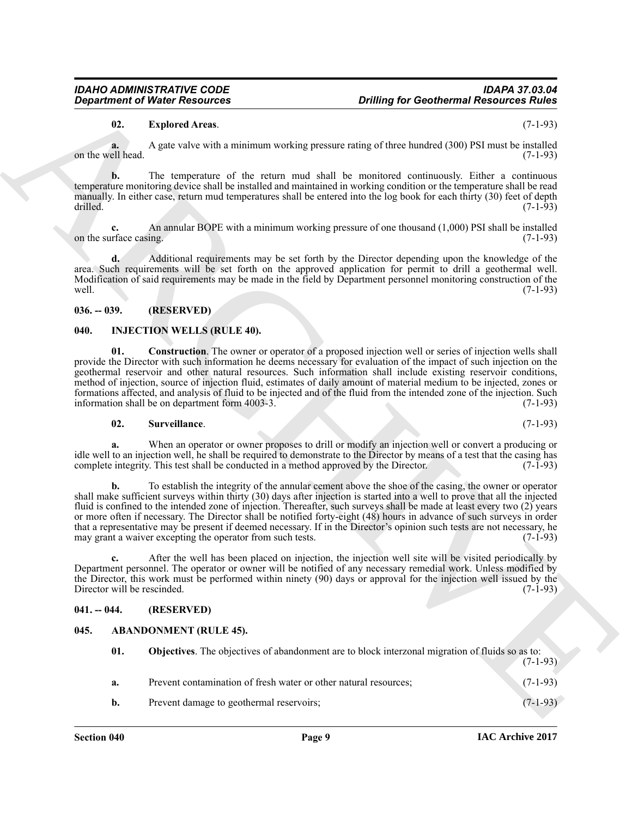### <span id="page-8-6"></span>**02. Explored Areas**. (7-1-93)

### <span id="page-8-0"></span>**036. -- 039. (RESERVED)**

### <span id="page-8-8"></span><span id="page-8-7"></span><span id="page-8-1"></span>**040. INJECTION WELLS (RULE 40).**

#### <span id="page-8-9"></span>**02. Surveillance**. (7-1-93)

### <span id="page-8-2"></span>**041. -- 044. (RESERVED)**

### <span id="page-8-5"></span><span id="page-8-4"></span><span id="page-8-3"></span>**045. ABANDONMENT (RULE 45).**

| <b>Drilling for Geothermal Resources Rules</b> | <b>Department of Water Resources</b>                                                                                                                                                                                                                                                                                                                                                                                                                                                                                                                                                                                                                                              |                              |
|------------------------------------------------|-----------------------------------------------------------------------------------------------------------------------------------------------------------------------------------------------------------------------------------------------------------------------------------------------------------------------------------------------------------------------------------------------------------------------------------------------------------------------------------------------------------------------------------------------------------------------------------------------------------------------------------------------------------------------------------|------------------------------|
| $(7-1-93)$                                     | <b>Explored Areas.</b>                                                                                                                                                                                                                                                                                                                                                                                                                                                                                                                                                                                                                                                            | 02.                          |
| $(7-1-93)$                                     | A gate valve with a minimum working pressure rating of three hundred (300) PSI must be installed                                                                                                                                                                                                                                                                                                                                                                                                                                                                                                                                                                                  | a.<br>on the well head.      |
| $(7-1-93)$                                     | The temperature of the return mud shall be monitored continuously. Either a continuous<br>temperature monitoring device shall be installed and maintained in working condition or the temperature shall be read<br>manually. In either case, return mud temperatures shall be entered into the log book for each thirty (30) feet of depth                                                                                                                                                                                                                                                                                                                                        | b.<br>drilled.               |
| $(7-1-93)$                                     | An annular BOPE with a minimum working pressure of one thousand (1,000) PSI shall be installed                                                                                                                                                                                                                                                                                                                                                                                                                                                                                                                                                                                    | c.<br>on the surface casing. |
| $(7-1-93)$                                     | Additional requirements may be set forth by the Director depending upon the knowledge of the<br>area. Such requirements will be set forth on the approved application for permit to drill a geothermal well.<br>Modification of said requirements may be made in the field by Department personnel monitoring construction of the                                                                                                                                                                                                                                                                                                                                                 | $\mathbf{d}$ .<br>well.      |
|                                                | (RESERVED)                                                                                                                                                                                                                                                                                                                                                                                                                                                                                                                                                                                                                                                                        | $036. - 039.$                |
|                                                | <b>INJECTION WELLS (RULE 40).</b>                                                                                                                                                                                                                                                                                                                                                                                                                                                                                                                                                                                                                                                 | 040.                         |
| $(7-1-93)$                                     | <b>Construction</b> . The owner or operator of a proposed injection well or series of injection wells shall<br>provide the Director with such information he deems necessary for evaluation of the impact of such injection on the<br>geothermal reservoir and other natural resources. Such information shall include existing reservoir conditions,<br>method of injection, source of injection fluid, estimates of daily amount of material medium to be injected, zones or<br>formations affected, and analysis of fluid to be injected and of the fluid from the intended zone of the injection. Such<br>information shall be on department form 4003-3.                     | 01.                          |
| $(7-1-93)$                                     | Surveillance.                                                                                                                                                                                                                                                                                                                                                                                                                                                                                                                                                                                                                                                                     | 02.                          |
| $(7-1-93)$                                     | When an operator or owner proposes to drill or modify an injection well or convert a producing or<br>idle well to an injection well, he shall be required to demonstrate to the Director by means of a test that the casing has<br>complete integrity. This test shall be conducted in a method approved by the Director.                                                                                                                                                                                                                                                                                                                                                         | a.                           |
| $(7-1-93)$                                     | To establish the integrity of the annular cement above the shoe of the casing, the owner or operator<br>shall make sufficient surveys within thirty (30) days after injection is started into a well to prove that all the injected<br>fluid is confined to the intended zone of injection. Thereafter, such surveys shall be made at least every two (2) years<br>or more often if necessary. The Director shall be notified forty-eight (48) hours in advance of such surveys in order<br>that a representative may be present if deemed necessary. If in the Director's opinion such tests are not necessary, he<br>may grant a waiver excepting the operator from such tests. |                              |
|                                                | After the well has been placed on injection, the injection well site will be visited periodically by<br>Department personnel. The operator or owner will be notified of any necessary remedial work. Unless modified by<br>the Director, this work must be performed within ninety (90) days or approval for the injection well issued by the                                                                                                                                                                                                                                                                                                                                     |                              |
|                                                |                                                                                                                                                                                                                                                                                                                                                                                                                                                                                                                                                                                                                                                                                   | Director will be rescinded.  |
|                                                | (RESERVED)                                                                                                                                                                                                                                                                                                                                                                                                                                                                                                                                                                                                                                                                        | $041. - 044.$                |
|                                                | <b>ABANDONMENT (RULE 45).</b>                                                                                                                                                                                                                                                                                                                                                                                                                                                                                                                                                                                                                                                     | 045.                         |
| $(7-1-93)$                                     | Objectives. The objectives of abandonment are to block interzonal migration of fluids so as to:                                                                                                                                                                                                                                                                                                                                                                                                                                                                                                                                                                                   | 01.                          |
| $(7-1-93)$<br>$(7-1-93)$                       | Prevent contamination of fresh water or other natural resources;                                                                                                                                                                                                                                                                                                                                                                                                                                                                                                                                                                                                                  | a.                           |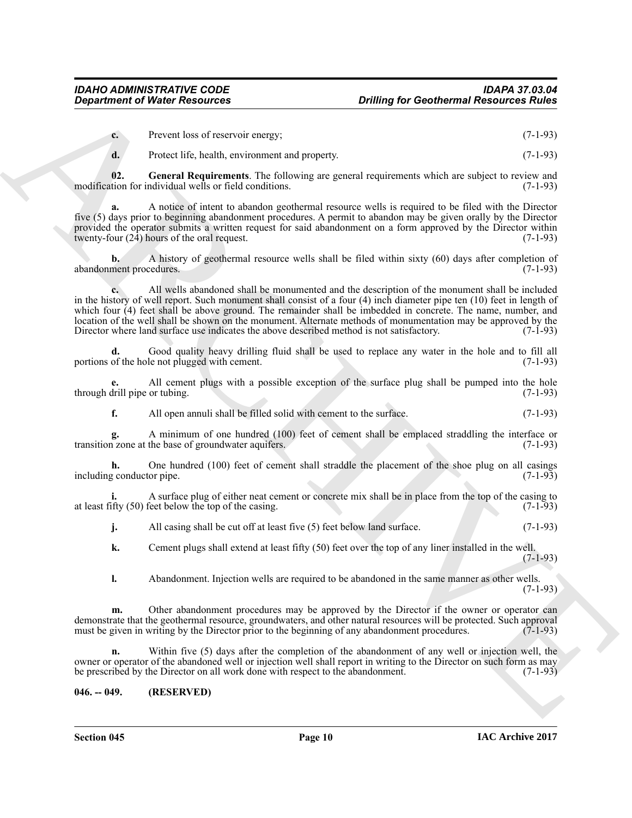| $\mathbf{c}$ . | Prevent loss of reservoir energy; | $(7-1-93)$ |
|----------------|-----------------------------------|------------|
|                |                                   |            |

<span id="page-9-1"></span>**d.** Protect life, health, environment and property. (7-1-93)

**02. General Requirements**. The following are general requirements which are subject to review and modification for individual wells or field conditions.

**a.** A notice of intent to abandon geothermal resource wells is required to be filed with the Director five (5) days prior to beginning abandonment procedures. A permit to abandon may be given orally by the Director provided the operator submits a written request for said abandonment on a form approved by the Director within twenty-four  $(24)$  hours of the oral request. (7-1-93)

**b.** A history of geothermal resource wells shall be filed within sixty (60) days after completion of abandonment procedures. (7-1-93)

**Considered of Nicele Resources Colliding for Goothernst Resources Collider (1971)**<br>
C. Downthis of Seconds Consider a strategies of the collidered and properties of the collider of the consideration of the collider of th **c.** All wells abandoned shall be monumented and the description of the monument shall be included in the history of well report. Such monument shall consist of a four (4) inch diameter pipe ten (10) feet in length of which four (4) feet shall be above ground. The remainder shall be imbedded in concrete. The name, number, and location of the well shall be shown on the monument. Alternate methods of monumentation may be approved by the<br>Director where land surface use indicates the above described method is not satisfactory. (7-1-93) Director where land surface use indicates the above described method is not satisfactory.

Good quality heavy drilling fluid shall be used to replace any water in the hole and to fill all le not plugged with cement. portions of the hole not plugged with cement.

**e.** All cement plugs with a possible exception of the surface plug shall be pumped into the hole drill pipe or tubing. (7-1-93) through drill pipe or tubing.

**f.** All open annuli shall be filled solid with cement to the surface. (7-1-93)

**g.** A minimum of one hundred (100) feet of cement shall be emplaced straddling the interface or zone at the base of groundwater aquifers. (7-1-93) transition zone at the base of groundwater aquifers.

**h.** One hundred (100) feet of cement shall straddle the placement of the shoe plug on all casings gonductor pipe. (7-1-93) including conductor pipe.

A surface plug of either neat cement or concrete mix shall be in place from the top of the casing to feet below the top of the casing. at least fifty  $(50)$  feet below the top of the casing.

**j.** All casing shall be cut off at least five (5) feet below land surface. (7-1-93)

**k.** Cement plugs shall extend at least fifty (50) feet over the top of any liner installed in the well.  $(7-1-93)$ 

**l.** Abandonment. Injection wells are required to be abandoned in the same manner as other wells. (7-1-93)

**m.** Other abandonment procedures may be approved by the Director if the owner or operator can demonstrate that the geothermal resource, groundwaters, and other natural resources will be protected. Such approval must be given in writing by the Director prior to the beginning of any abandonment procedures. (7-1-93) must be given in writing by the Director prior to the beginning of any abandonment procedures.

**n.** Within five (5) days after the completion of the abandonment of any well or injection well, the owner or operator of the abandoned well or injection well shall report in writing to the Director on such form as may be prescribed by the Director on all work done with respect to the abandonment. (7-1-93)

#### <span id="page-9-0"></span>**046. -- 049. (RESERVED)**

**Section 045 Page 10**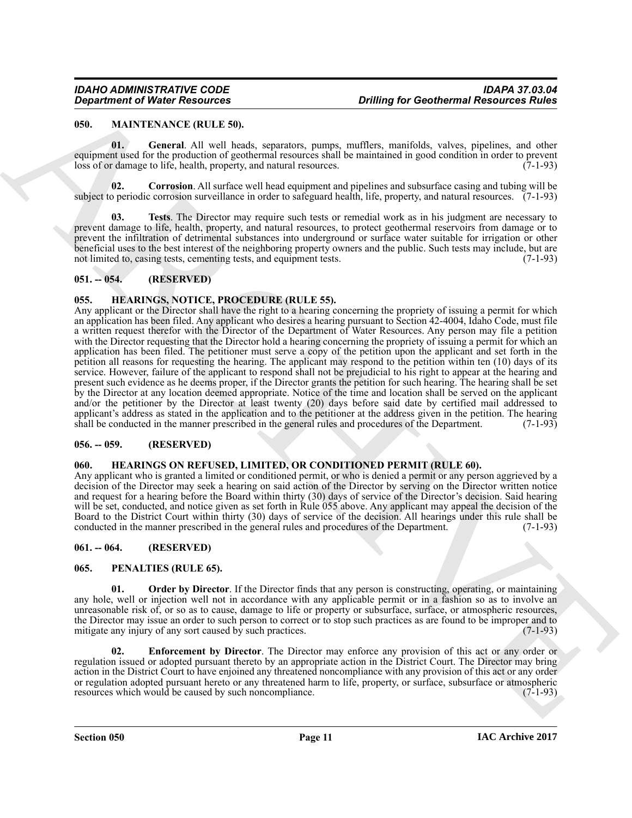#### <span id="page-10-9"></span><span id="page-10-0"></span>**050. MAINTENANCE (RULE 50).**

<span id="page-10-11"></span>**01. General**. All well heads, separators, pumps, mufflers, manifolds, valves, pipelines, and other equipment used for the production of geothermal resources shall be maintained in good condition in order to prevent loss of or damage to life, health, property, and natural resources. (7-1-93)

<span id="page-10-10"></span>**02. Corrosion**. All surface well head equipment and pipelines and subsurface casing and tubing will be subject to periodic corrosion surveillance in order to safeguard health, life, property, and natural resources. (7-1-93)

<span id="page-10-12"></span>**Tests**. The Director may require such tests or remedial work as in his judgment are necessary to prevent damage to life, health, property, and natural resources, to protect geothermal reservoirs from damage or to prevent the infiltration of detrimental substances into underground or surface water suitable for irrigation or other beneficial uses to the best interest of the neighboring property owners and the public. Such tests may include, but are not limited to, casing tests, cementing tests, and equipment tests. not limited to, casing tests, cementing tests, and equipment tests.

#### <span id="page-10-1"></span>**051. -- 054. (RESERVED)**

#### <span id="page-10-8"></span><span id="page-10-2"></span>**055. HEARINGS, NOTICE, PROCEDURE (RULE 55).**

**Constrained Weire Resources CritiCs** (a) the discussion of the constrained by the constrained and the property of the constrained and the property of the constrained and the constrained and the constrained and the cons Any applicant or the Director shall have the right to a hearing concerning the propriety of issuing a permit for which an application has been filed. Any applicant who desires a hearing pursuant to Section 42-4004, Idaho Code, must file a written request therefor with the Director of the Department of Water Resources. Any person may file a petition with the Director requesting that the Director hold a hearing concerning the propriety of issuing a permit for which an application has been filed. The petitioner must serve a copy of the petition upon the applicant and set forth in the petition all reasons for requesting the hearing. The applicant may respond to the petition within ten (10) days of its service. However, failure of the applicant to respond shall not be prejudicial to his right to appear at the hearing and present such evidence as he deems proper, if the Director grants the petition for such hearing. The hearing shall be set by the Director at any location deemed appropriate. Notice of the time and location shall be served on the applicant and/or the petitioner by the Director at least twenty (20) days before said date by certified mail addressed to applicant's address as stated in the application and to the petitioner at the address given in the petition. The hearing shall be conducted in the manner prescribed in the general rules and procedures of the Department. (7-1-93)

#### <span id="page-10-3"></span>**056. -- 059. (RESERVED)**

#### <span id="page-10-7"></span><span id="page-10-4"></span>**060. HEARINGS ON REFUSED, LIMITED, OR CONDITIONED PERMIT (RULE 60).**

Any applicant who is granted a limited or conditioned permit, or who is denied a permit or any person aggrieved by a decision of the Director may seek a hearing on said action of the Director by serving on the Director written notice and request for a hearing before the Board within thirty (30) days of service of the Director's decision. Said hearing will be set, conducted, and notice given as set forth in Rule 055 above. Any applicant may appeal the decision of the Board to the District Court within thirty (30) days of service of the decision. All hearings under this rule shall be conducted in the manner prescribed in the general rules and procedures of the Department. (7-1-93)

#### <span id="page-10-5"></span>**061. -- 064. (RESERVED)**

#### <span id="page-10-13"></span><span id="page-10-6"></span>**065. PENALTIES (RULE 65).**

<span id="page-10-15"></span>**01.** Order by Director. If the Director finds that any person is constructing, operating, or maintaining any hole, well or injection well not in accordance with any applicable permit or in a fashion so as to involve an unreasonable risk of, or so as to cause, damage to life or property or subsurface, surface, or atmospheric resources, the Director may issue an order to such person to correct or to stop such practices as are found to be improper and to mitigate any injury of any sort caused by such practices. mitigate any injury of any sort caused by such practices.

<span id="page-10-14"></span>**Enforcement by Director**. The Director may enforce any provision of this act or any order or regulation issued or adopted pursuant thereto by an appropriate action in the District Court. The Director may bring action in the District Court to have enjoined any threatened noncompliance with any provision of this act or any order or regulation adopted pursuant hereto or any threatened harm to life, property, or surface, subsurface or atmospheric resources which would be caused by such noncompliance. (7-1-93) resources which would be caused by such noncompliance.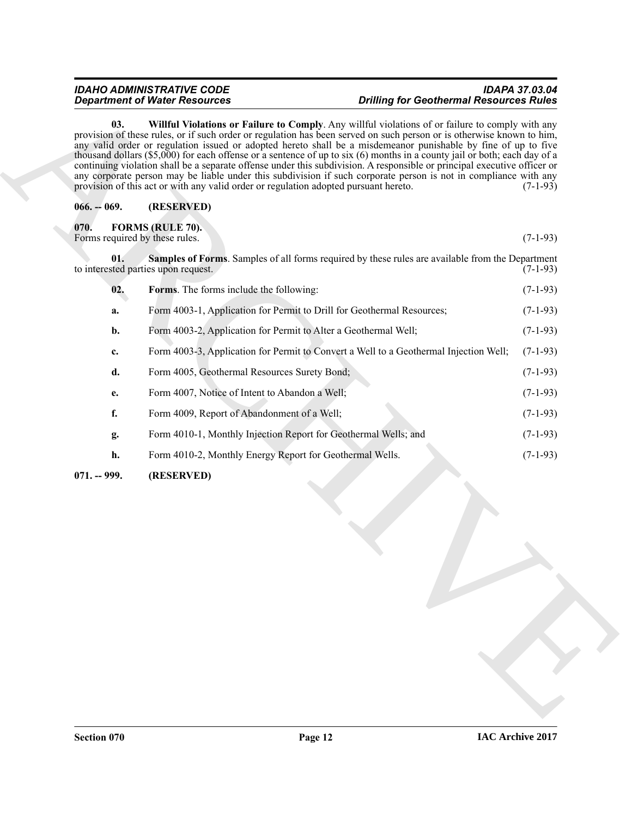#### <span id="page-11-5"></span>*IDAHO ADMINISTRATIVE CODE IDAPA 37.03.04 Department of Water Resources Drilling for Geothermal Resources Rules*

#### <span id="page-11-4"></span><span id="page-11-3"></span><span id="page-11-2"></span><span id="page-11-1"></span><span id="page-11-0"></span>**066. -- 069. (RESERVED)**

| 03.<br>provision of this act or with any valid order or regulation adopted pursuant hereto.<br>$066. - 069.$<br>(RESERVED) | Willful Violations or Failure to Comply. Any willful violations of or failure to comply with any<br>provision of these rules, or if such order or regulation has been served on such person or is otherwise known to him,<br>any valid order or regulation issued or adopted hereto shall be a misdemeanor punishable by fine of up to five<br>thousand dollars $(\$5,000)$ for each offense or a sentence of up to six $(6)$ months in a county jail or both; each day of a<br>continuing violation shall be a separate offense under this subdivision. A responsible or principal executive officer or<br>any corporate person may be liable under this subdivision if such corporate person is not in compliance with any | $(7-1-93)$                                                                                                                                                                                                                                                                                                                                                                                                                                                                                                                                                    |
|----------------------------------------------------------------------------------------------------------------------------|------------------------------------------------------------------------------------------------------------------------------------------------------------------------------------------------------------------------------------------------------------------------------------------------------------------------------------------------------------------------------------------------------------------------------------------------------------------------------------------------------------------------------------------------------------------------------------------------------------------------------------------------------------------------------------------------------------------------------|---------------------------------------------------------------------------------------------------------------------------------------------------------------------------------------------------------------------------------------------------------------------------------------------------------------------------------------------------------------------------------------------------------------------------------------------------------------------------------------------------------------------------------------------------------------|
|                                                                                                                            |                                                                                                                                                                                                                                                                                                                                                                                                                                                                                                                                                                                                                                                                                                                              |                                                                                                                                                                                                                                                                                                                                                                                                                                                                                                                                                               |
|                                                                                                                            |                                                                                                                                                                                                                                                                                                                                                                                                                                                                                                                                                                                                                                                                                                                              |                                                                                                                                                                                                                                                                                                                                                                                                                                                                                                                                                               |
| <b>FORMS (RULE 70).</b><br>Forms required by these rules.                                                                  |                                                                                                                                                                                                                                                                                                                                                                                                                                                                                                                                                                                                                                                                                                                              | $(7-1-93)$                                                                                                                                                                                                                                                                                                                                                                                                                                                                                                                                                    |
| 01.                                                                                                                        | Samples of Forms. Samples of all forms required by these rules are available from the Department                                                                                                                                                                                                                                                                                                                                                                                                                                                                                                                                                                                                                             | $(7-1-93)$                                                                                                                                                                                                                                                                                                                                                                                                                                                                                                                                                    |
|                                                                                                                            |                                                                                                                                                                                                                                                                                                                                                                                                                                                                                                                                                                                                                                                                                                                              | $(7-1-93)$                                                                                                                                                                                                                                                                                                                                                                                                                                                                                                                                                    |
|                                                                                                                            |                                                                                                                                                                                                                                                                                                                                                                                                                                                                                                                                                                                                                                                                                                                              | $(7-1-93)$                                                                                                                                                                                                                                                                                                                                                                                                                                                                                                                                                    |
|                                                                                                                            |                                                                                                                                                                                                                                                                                                                                                                                                                                                                                                                                                                                                                                                                                                                              | $(7-1-93)$                                                                                                                                                                                                                                                                                                                                                                                                                                                                                                                                                    |
|                                                                                                                            |                                                                                                                                                                                                                                                                                                                                                                                                                                                                                                                                                                                                                                                                                                                              | $(7-1-93)$                                                                                                                                                                                                                                                                                                                                                                                                                                                                                                                                                    |
|                                                                                                                            |                                                                                                                                                                                                                                                                                                                                                                                                                                                                                                                                                                                                                                                                                                                              | $(7-1-93)$                                                                                                                                                                                                                                                                                                                                                                                                                                                                                                                                                    |
|                                                                                                                            |                                                                                                                                                                                                                                                                                                                                                                                                                                                                                                                                                                                                                                                                                                                              | $(7-1-93)$                                                                                                                                                                                                                                                                                                                                                                                                                                                                                                                                                    |
|                                                                                                                            |                                                                                                                                                                                                                                                                                                                                                                                                                                                                                                                                                                                                                                                                                                                              | $(7-1-93)$                                                                                                                                                                                                                                                                                                                                                                                                                                                                                                                                                    |
|                                                                                                                            |                                                                                                                                                                                                                                                                                                                                                                                                                                                                                                                                                                                                                                                                                                                              | $(7-1-93)$                                                                                                                                                                                                                                                                                                                                                                                                                                                                                                                                                    |
|                                                                                                                            |                                                                                                                                                                                                                                                                                                                                                                                                                                                                                                                                                                                                                                                                                                                              | $(7-1-93)$                                                                                                                                                                                                                                                                                                                                                                                                                                                                                                                                                    |
| (RESERVED)                                                                                                                 |                                                                                                                                                                                                                                                                                                                                                                                                                                                                                                                                                                                                                                                                                                                              |                                                                                                                                                                                                                                                                                                                                                                                                                                                                                                                                                               |
|                                                                                                                            |                                                                                                                                                                                                                                                                                                                                                                                                                                                                                                                                                                                                                                                                                                                              |                                                                                                                                                                                                                                                                                                                                                                                                                                                                                                                                                               |
|                                                                                                                            | to interested parties upon request.<br>02.<br>a.<br>b.<br>c.<br>d.<br>e.<br>f.<br>g.<br>h.<br>$071. - 999.$                                                                                                                                                                                                                                                                                                                                                                                                                                                                                                                                                                                                                  | Forms. The forms include the following:<br>Form 4003-1, Application for Permit to Drill for Geothermal Resources;<br>Form 4003-2, Application for Permit to Alter a Geothermal Well;<br>Form 4003-3, Application for Permit to Convert a Well to a Geothermal Injection Well;<br>Form 4005, Geothermal Resources Surety Bond;<br>Form 4007, Notice of Intent to Abandon a Well;<br>Form 4009, Report of Abandonment of a Well;<br>Form 4010-1, Monthly Injection Report for Geothermal Wells; and<br>Form 4010-2, Monthly Energy Report for Geothermal Wells. |